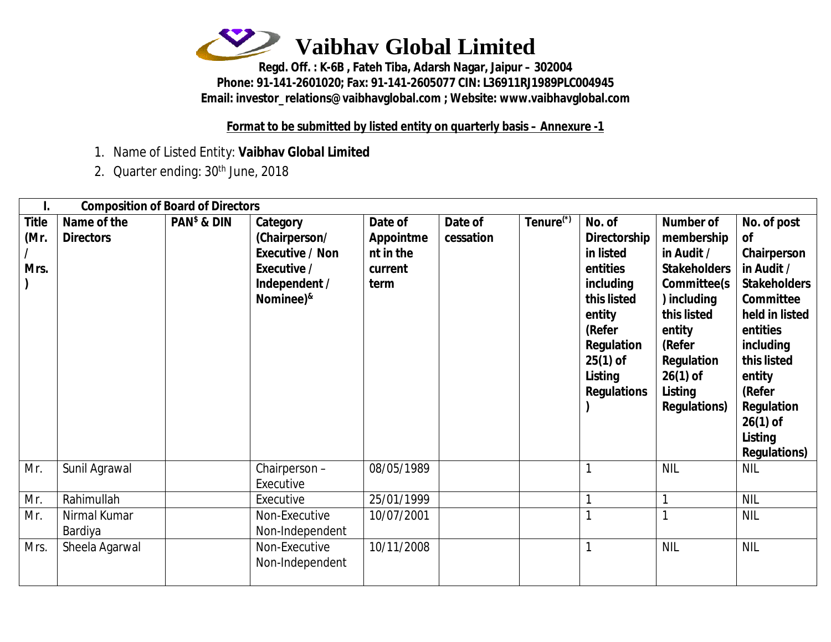

**Regd. Off. : K-6B , Fateh Tiba, Adarsh Nagar, Jaipur – 302004 Phone: 91-141-2601020; Fax: 91-141-2605077 CIN: L36911RJ1989PLC004945 Email: [investor\\_relations@vaibhavglobal.com](mailto:investor_relations@vaibhavglobal.com) ; Website: [www.vaibhavglobal.com](http://www.vaibhavglobal.com)**

**Format to be submitted by listed entity on quarterly basis – Annexure -1**

- 1. Name of Listed Entity: **Vaibhav Global Limited**
- 2. Quarter ending: 30<sup>th</sup> June, 2018

|                                           | <b>Composition of Board of Directors</b> |                |                                                                                                                  |                                                             |                      |                       |                                                                                                                                                                     |                                                                                                                                                                                                    |                                                                                                                                                                                                                                              |
|-------------------------------------------|------------------------------------------|----------------|------------------------------------------------------------------------------------------------------------------|-------------------------------------------------------------|----------------------|-----------------------|---------------------------------------------------------------------------------------------------------------------------------------------------------------------|----------------------------------------------------------------------------------------------------------------------------------------------------------------------------------------------------|----------------------------------------------------------------------------------------------------------------------------------------------------------------------------------------------------------------------------------------------|
| <b>Title</b><br>(Mr.<br>Mrs.<br>$\lambda$ | Name of the<br><b>Directors</b>          | $PANs$ & $DIN$ | Category<br>(Chairperson/<br><b>Executive / Non</b><br>Executive /<br>Independent /<br>Nominee) <sup>&amp;</sup> | Date of<br><b>Appointme</b><br>nt in the<br>current<br>term | Date of<br>cessation | Tenure <sup>(*)</sup> | No. of<br><b>Directorship</b><br>in listed<br>entities<br>including<br>this listed<br>entity<br>(Refer<br>Regulation<br>$25(1)$ of<br>Listing<br><b>Regulations</b> | <b>Number of</b><br>membership<br>in Audit /<br><b>Stakeholders</b><br>Committee(s<br>) including<br>this listed<br>entity<br>(Refer<br>Regulation<br>$26(1)$ of<br>Listing<br><b>Regulations)</b> | No. of post<br><b>of</b><br>Chairperson<br>in Audit /<br><b>Stakeholders</b><br>Committee<br>held in listed<br>entities<br>including<br>this listed<br>entity<br>(Refer<br><b>Regulation</b><br>$26(1)$ of<br>Listing<br><b>Regulations)</b> |
| Mr.                                       | Sunil Agrawal                            |                | Chairperson-<br>Executive                                                                                        | 08/05/1989                                                  |                      |                       |                                                                                                                                                                     | <b>NIL</b>                                                                                                                                                                                         | <b>NIL</b>                                                                                                                                                                                                                                   |
| Mr.                                       | Rahimullah                               |                | Executive                                                                                                        | 25/01/1999                                                  |                      |                       |                                                                                                                                                                     |                                                                                                                                                                                                    | <b>NIL</b>                                                                                                                                                                                                                                   |
| Mr.                                       | Nirmal Kumar<br>Bardiya                  |                | Non-Executive<br>Non-Independent                                                                                 | 10/07/2001                                                  |                      |                       |                                                                                                                                                                     |                                                                                                                                                                                                    | <b>NIL</b>                                                                                                                                                                                                                                   |
| Mrs.                                      | Sheela Agarwal                           |                | Non-Executive<br>Non-Independent                                                                                 | 10/11/2008                                                  |                      |                       |                                                                                                                                                                     | <b>NIL</b>                                                                                                                                                                                         | <b>NIL</b>                                                                                                                                                                                                                                   |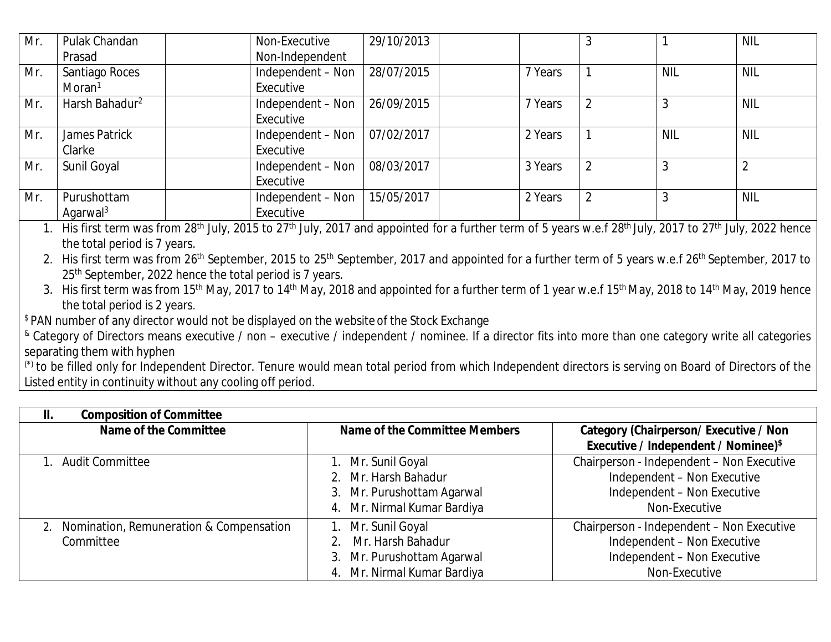| Mr. | Pulak Chandan              | Non-Executive     | 29/10/2013 |         |                |            | <b>NIL</b> |
|-----|----------------------------|-------------------|------------|---------|----------------|------------|------------|
|     | Prasad                     | Non-Independent   |            |         |                |            |            |
| Mr. | Santiago Roces             | Independent - Non | 28/07/2015 | 7 Years |                | <b>NIL</b> | <b>NIL</b> |
|     | Moran <sup>1</sup>         | Executive         |            |         |                |            |            |
| Mr. | Harsh Bahadur <sup>2</sup> | Independent – Non | 26/09/2015 | 7 Years |                |            | <b>NIL</b> |
|     |                            | Executive         |            |         |                |            |            |
| Mr. | James Patrick              | Independent – Non | 07/02/2017 | 2 Years |                | <b>NIL</b> | <b>NIL</b> |
|     | Clarke                     | Executive         |            |         |                |            |            |
| Mr. | Sunil Goyal                | Independent – Non | 08/03/2017 | 3 Years | $\overline{2}$ |            |            |
|     |                            | Executive         |            |         |                |            |            |
| Mr. | Purushottam                | Independent - Non | 15/05/2017 | 2 Years |                |            | <b>NIL</b> |
|     | Agarwal <sup>3</sup>       | Executive         |            |         |                |            |            |

1. His first term was from 28<sup>th</sup> July, 2015 to 27<sup>th</sup> July, 2017 and appointed for a further term of 5 years w.e.f 28<sup>th</sup> July, 2017 to 27<sup>th</sup> July, 2022 hence the total period is 7 years.

2. His first term was from 26<sup>th</sup> September, 2015 to 25<sup>th</sup> September, 2017 and appointed for a further term of 5 years w.e.f 26<sup>th</sup> September, 2017 to 25<sup>th</sup> September, 2022 hence the total period is 7 years.

3. His first term was from 15<sup>th</sup> May, 2017 to 14<sup>th</sup> May, 2018 and appointed for a further term of 1 year w.e.f 15<sup>th</sup> May, 2018 to 14<sup>th</sup> May, 2019 hence the total period is 2 years.

\$ PAN number of any director would not be displayed on the website of the Stock Exchange

(\*) to be filled only for Independent Director. Tenure would mean total period from which Independent directors is serving on Board of Directors of the Listed entity in continuity without any cooling off period.

| <b>Composition of Committee</b><br>Ш.                |                                                                                                         |                                                                                                                          |
|------------------------------------------------------|---------------------------------------------------------------------------------------------------------|--------------------------------------------------------------------------------------------------------------------------|
| <b>Name of the Committee</b>                         | Name of the Committee Members                                                                           | <b>Category (Chairperson/Executive / Non</b><br><b>Executive / Independent / Nominee)</b> \$                             |
| Audit Committee                                      | Mr. Sunil Goyal<br>2. Mr. Harsh Bahadur<br>Mr. Purushottam Agarwal<br>3.<br>4. Mr. Nirmal Kumar Bardiya | Chairperson - Independent - Non Executive<br>Independent - Non Executive<br>Independent - Non Executive<br>Non-Executive |
| Nomination, Remuneration & Compensation<br>Committee | Mr. Sunil Goyal<br>Mr. Harsh Bahadur<br>Mr. Purushottam Agarwal<br>3.<br>Mr. Nirmal Kumar Bardiya       | Chairperson - Independent - Non Executive<br>Independent - Non Executive<br>Independent - Non Executive<br>Non-Executive |

<sup>&</sup>amp; Category of Directors means executive / non – executive / independent / nominee. If a director fits into more than one category write all categories separating them with hyphen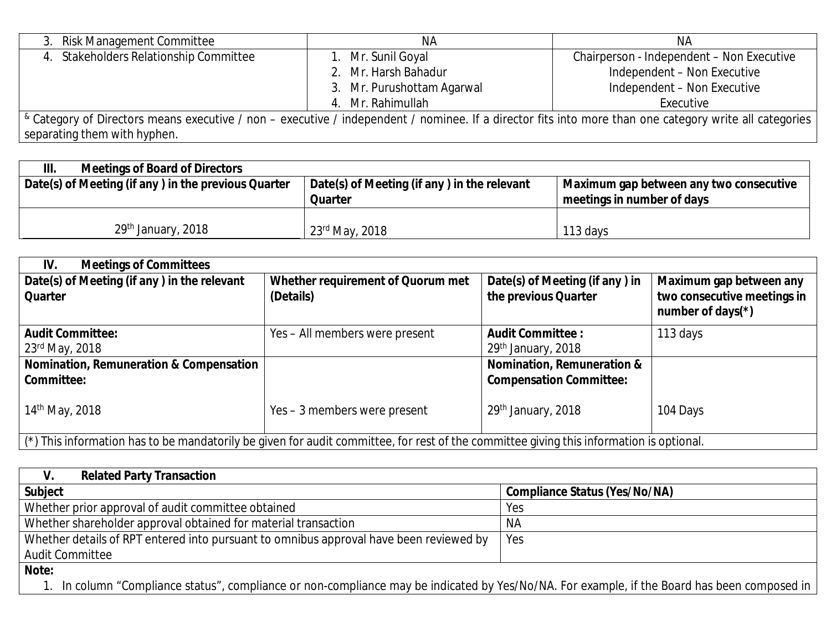| 3. Risk Management Committee                                                                                                                                          | <b>NA</b>                  | ΝA                                        |  |  |  |  |
|-----------------------------------------------------------------------------------------------------------------------------------------------------------------------|----------------------------|-------------------------------------------|--|--|--|--|
| 4. Stakeholders Relationship Committee                                                                                                                                | 1. Mr. Sunil Goyal         | Chairperson - Independent - Non Executive |  |  |  |  |
|                                                                                                                                                                       | 2. Mr. Harsh Bahadur       | Independent - Non Executive               |  |  |  |  |
|                                                                                                                                                                       | 3. Mr. Purushottam Agarwal | Independent - Non Executive               |  |  |  |  |
|                                                                                                                                                                       | 4. Mr. Rahimullah          | Executive                                 |  |  |  |  |
| <sup>&amp;</sup> Category of Directors means executive / non – executive / independent / nominee. If a director fits into more than one category write all categories |                            |                                           |  |  |  |  |
| separating them with hyphen.                                                                                                                                          |                            |                                           |  |  |  |  |

| III.<br><b>Meetings of Board of Directors</b>       |                                                               |                                                                       |
|-----------------------------------------------------|---------------------------------------------------------------|-----------------------------------------------------------------------|
| Date(s) of Meeting (if any) in the previous Quarter | Date(s) of Meeting (if any) in the relevant<br><b>Quarter</b> | Maximum gap between any two consecutive<br>meetings in number of days |
| 29th January, 2018                                  | 23rd May, 2018                                                | 113 days                                                              |

| IV.<br><b>Meetings of Committees</b>                                                                                                    |                                                |                                                        |                                                                                |  |  |
|-----------------------------------------------------------------------------------------------------------------------------------------|------------------------------------------------|--------------------------------------------------------|--------------------------------------------------------------------------------|--|--|
| Date(s) of Meeting (if any) in the relevant<br><b>Quarter</b>                                                                           | Whether requirement of Quorum met<br>(Details) | Date(s) of Meeting (if any) in<br>the previous Quarter | Maximum gap between any<br>two consecutive meetings in<br>number of days $(*)$ |  |  |
| <b>Audit Committee:</b>                                                                                                                 | Yes - All members were present                 | <b>Audit Committee:</b>                                | 113 days                                                                       |  |  |
| 23rd May, 2018                                                                                                                          |                                                | 29th January, 2018                                     |                                                                                |  |  |
| Nomination, Remuneration & Compensation                                                                                                 |                                                | <b>Nomination, Remuneration &amp;</b>                  |                                                                                |  |  |
| <b>Committee:</b>                                                                                                                       |                                                | <b>Compensation Committee:</b>                         |                                                                                |  |  |
| 14 <sup>th</sup> May, 2018                                                                                                              | Yes – 3 members were present                   | 29th January, 2018                                     | 104 Days                                                                       |  |  |
| (*) This information has to be mandatorily be given for audit committee, for rest of the committee giving this information is optional. |                                                |                                                        |                                                                                |  |  |

| <b>Related Party Transaction</b><br>V.                                                 |                                      |  |  |  |
|----------------------------------------------------------------------------------------|--------------------------------------|--|--|--|
| <b>Subject</b>                                                                         | <b>Compliance Status (Yes/No/NA)</b> |  |  |  |
| Whether prior approval of audit committee obtained                                     | Yes                                  |  |  |  |
| Whether shareholder approval obtained for material transaction                         | <b>NA</b>                            |  |  |  |
| Whether details of RPT entered into pursuant to omnibus approval have been reviewed by | Yes                                  |  |  |  |
| <b>Audit Committee</b>                                                                 |                                      |  |  |  |
| Note:                                                                                  |                                      |  |  |  |

1. In column "Compliance status", compliance or non-compliance may be indicated by Yes/No/NA. For example, if the Board has been composed in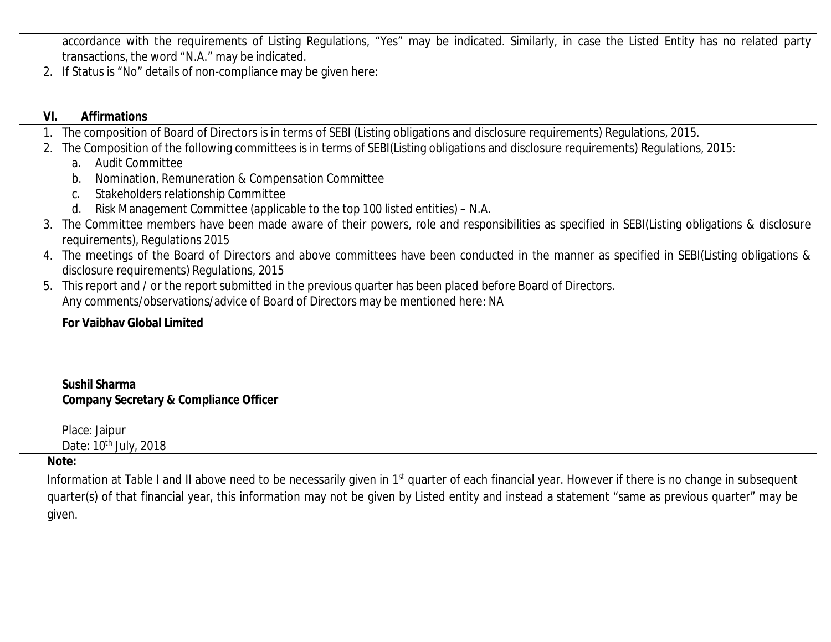accordance with the requirements of Listing Regulations, "Yes" may be indicated. Similarly, in case the Listed Entity has no related party transactions, the word "N.A." may be indicated.

2. If Status is "No" details of non-compliance may be given here:

given.

| VI. | <b>Affirmations</b>                                                                                                                                                            |
|-----|--------------------------------------------------------------------------------------------------------------------------------------------------------------------------------|
|     | The composition of Board of Directors is in terms of SEBI (Listing obligations and disclosure requirements) Regulations, 2015.                                                 |
| 2.  | The Composition of the following committees is in terms of SEBI(Listing obligations and disclosure requirements) Regulations, 2015:                                            |
|     | <b>Audit Committee</b><br>a <sub>1</sub>                                                                                                                                       |
|     | Nomination, Remuneration & Compensation Committee<br>b.                                                                                                                        |
|     | Stakeholders relationship Committee<br>C.                                                                                                                                      |
|     | Risk Management Committee (applicable to the top 100 listed entities) - N.A.<br>d.                                                                                             |
| 3.  | The Committee members have been made aware of their powers, role and responsibilities as specified in SEBI(Listing obligations & disclosure<br>requirements), Regulations 2015 |
|     | 4. The meetings of the Board of Directors and above committees have been conducted in the manner as specified in SEBI(Listing obligations &                                    |
|     | disclosure requirements) Requlations, 2015                                                                                                                                     |
| 5.  | This report and / or the report submitted in the previous quarter has been placed before Board of Directors.                                                                   |
|     | Any comments/observations/advice of Board of Directors may be mentioned here: NA                                                                                               |
|     | <b>For Vaibhav Global Limited</b>                                                                                                                                              |
|     |                                                                                                                                                                                |
|     | <b>Sushil Sharma</b>                                                                                                                                                           |
|     | <b>Company Secretary &amp; Compliance Officer</b>                                                                                                                              |
|     | Place: Jaipur                                                                                                                                                                  |
|     | Date: 10 <sup>th</sup> July, 2018                                                                                                                                              |
|     | Note:                                                                                                                                                                          |
|     | Information at Table I and II above need to be necessarily given in 1 <sup>st</sup> quarter of each financial year. However if there is no change in subsequent                |
|     | quarter(s) of that financial year, this information may not be given by Listed entity and instead a statement "same as previous quarter" may be                                |